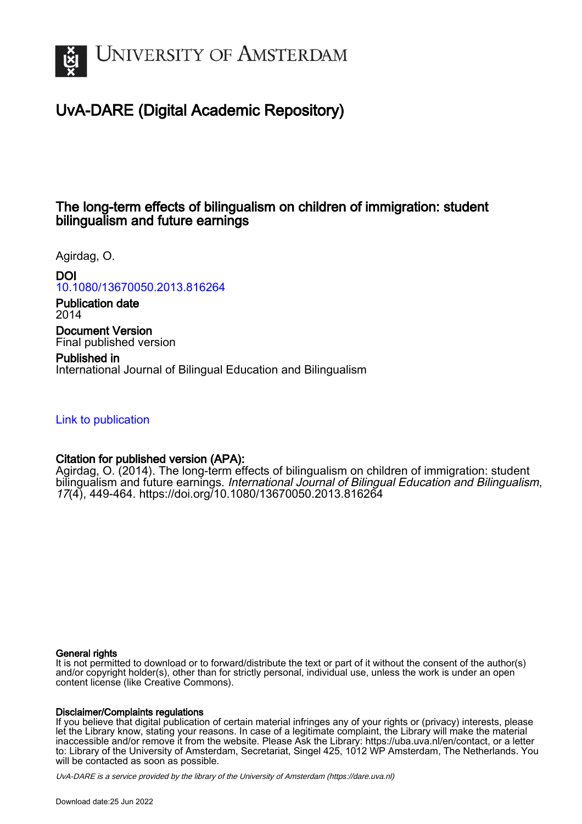

# UvA-DARE (Digital Academic Repository)

## The long-term effects of bilingualism on children of immigration: student bilingualism and future earnings

Agirdag, O.

DOI

[10.1080/13670050.2013.816264](https://doi.org/10.1080/13670050.2013.816264)

Publication date 2014

Document Version Final published version

Published in International Journal of Bilingual Education and Bilingualism

[Link to publication](https://dare.uva.nl/personal/pure/en/publications/the-longterm-effects-of-bilingualism-on-children-of-immigration-student-bilingualism-and-future-earnings(1ebc5588-e90f-49c5-8dde-a77f5f78ef76).html)

## Citation for published version (APA):

Agirdag, O. (2014). The long-term effects of bilingualism on children of immigration: student bilingualism and future earnings. International Journal of Bilingual Education and Bilingualism, 17(4), 449-464.<https://doi.org/10.1080/13670050.2013.816264>

## General rights

It is not permitted to download or to forward/distribute the text or part of it without the consent of the author(s) and/or copyright holder(s), other than for strictly personal, individual use, unless the work is under an open content license (like Creative Commons).

## Disclaimer/Complaints regulations

If you believe that digital publication of certain material infringes any of your rights or (privacy) interests, please let the Library know, stating your reasons. In case of a legitimate complaint, the Library will make the material inaccessible and/or remove it from the website. Please Ask the Library: https://uba.uva.nl/en/contact, or a letter to: Library of the University of Amsterdam, Secretariat, Singel 425, 1012 WP Amsterdam, The Netherlands. You will be contacted as soon as possible.

UvA-DARE is a service provided by the library of the University of Amsterdam (http*s*://dare.uva.nl)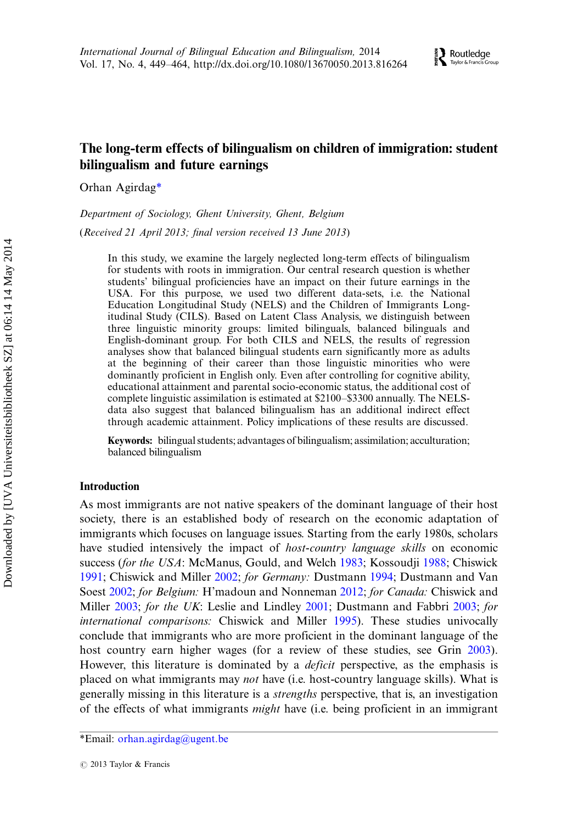## The long-term effects of bilingualism on children of immigration: student bilingualism and future earnings

Orhan Agirdag\*

Department of Sociology, Ghent University, Ghent, Belgium

(Received 21 April 2013; final version received 13 June 2013)

In this study, we examine the largely neglected long-term effects of bilingualism for students with roots in immigration. Our central research question is whether students' bilingual proficiencies have an impact on their future earnings in the USA. For this purpose, we used two different data-sets, i.e. the National Education Longitudinal Study (NELS) and the Children of Immigrants Longitudinal Study (CILS). Based on Latent Class Analysis, we distinguish between three linguistic minority groups: limited bilinguals, balanced bilinguals and English-dominant group. For both CILS and NELS, the results of regression analyses show that balanced bilingual students earn significantly more as adults at the beginning of their career than those linguistic minorities who were dominantly proficient in English only. Even after controlling for cognitive ability, educational attainment and parental socio-economic status, the additional cost of complete linguistic assimilation is estimated at \$2100-\$3300 annually. The NELSdata also suggest that balanced bilingualism has an additional indirect effect through academic attainment. Policy implications of these results are discussed.

Keywords: bilingual students; advantages of bilingualism; assimilation; acculturation; balanced bilingualism

### Introduction

As most immigrants are not native speakers of the dominant language of their host society, there is an established body of research on the economic adaptation of immigrants which focuses on language issues. Starting from the early 1980s, scholars have studied intensively the impact of *host-country language skills* on economic success (for the USA: McManus, Gould, and Welch [1983;](#page-15-0) Kossoudji [1988](#page-15-0); Chiswick [1991;](#page-14-0) Chiswick and Miller [2002](#page-14-0); for Germany: Dustmann [1994;](#page-14-0) Dustmann and Van Soest [2002](#page-14-0); for Belgium: H'madoun and Nonneman [2012](#page-15-0); for Canada: Chiswick and Miller [2003;](#page-14-0) for the UK: Leslie and Lindley [2001;](#page-15-0) Dustmann and Fabbri 2003; for international comparisons: Chiswick and Miller [1995\)](#page-14-0). These studies univocally conclude that immigrants who are more proficient in the dominant language of the host country earn higher wages (for a review of these studies, see Grin [2003](#page-15-0)). However, this literature is dominated by a *deficit* perspective, as the emphasis is placed on what immigrants may not have (i.e. host-country language skills). What is generally missing in this literature is a strengths perspective, that is, an investigation of the effects of what immigrants might have (i.e. being proficient in an immigrant

<sup>\*</sup>Email: [orhan.agirdag@ugent.be](mailto:orhan.agirdag@ugent.be)

 $\odot$  2013 Taylor & Francis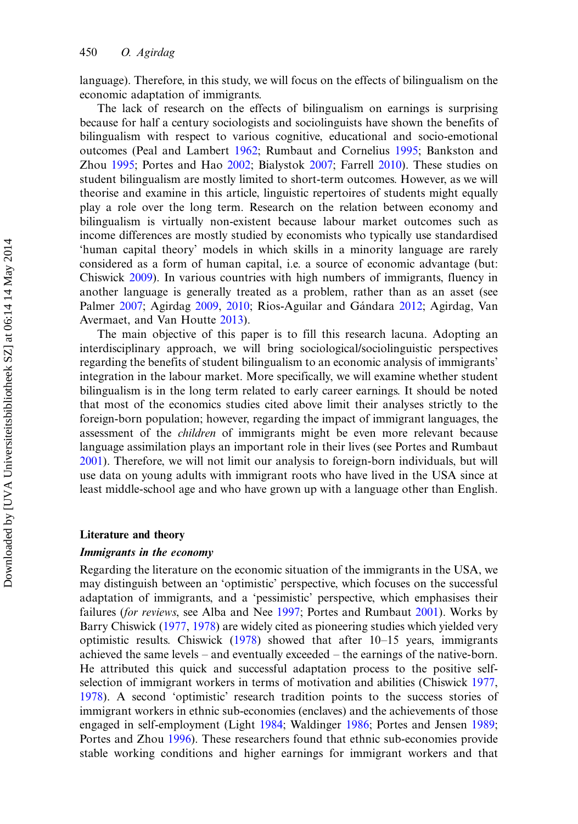language). Therefore, in this study, we will focus on the effects of bilingualism on the economic adaptation of immigrants.

The lack of research on the effects of bilingualism on earnings is surprising because for half a century sociologists and sociolinguists have shown the benefits of bilingualism with respect to various cognitive, educational and socio-emotional outcomes (Peal and Lambert [1962](#page-15-0); Rumbaut and Cornelius [1995](#page-15-0); Bankston and Zhou [1995;](#page-14-0) Portes and Hao [2002](#page-15-0); Bialystok [2007](#page-14-0); Farrell [2010\)](#page-14-0). These studies on student bilingualism are mostly limited to short-term outcomes. However, as we will theorise and examine in this article, linguistic repertoires of students might equally play a role over the long term. Research on the relation between economy and bilingualism is virtually non-existent because labour market outcomes such as income differences are mostly studied by economists who typically use standardised 'human capital theory' models in which skills in a minority language are rarely considered as a form of human capital, i.e. a source of economic advantage (but: Chiswick [2009](#page-14-0)). In various countries with high numbers of immigrants, fluency in another language is generally treated as a problem, rather than as an asset (see Palmer [2007;](#page-15-0) Agirdag [2009,](#page-13-0) [2010](#page-13-0); Rios-Aguilar and Gándara [2012;](#page-15-0) Agirdag, Van Avermaet, and Van Houtte [2013\)](#page-13-0).

The main objective of this paper is to fill this research lacuna. Adopting an interdisciplinary approach, we will bring sociological/sociolinguistic perspectives regarding the benefits of student bilingualism to an economic analysis of immigrants' integration in the labour market. More specifically, we will examine whether student bilingualism is in the long term related to early career earnings. It should be noted that most of the economics studies cited above limit their analyses strictly to the foreign-born population; however, regarding the impact of immigrant languages, the assessment of the children of immigrants might be even more relevant because language assimilation plays an important role in their lives (see Portes and Rumbaut [2001\)](#page-15-0). Therefore, we will not limit our analysis to foreign-born individuals, but will use data on young adults with immigrant roots who have lived in the USA since at least middle-school age and who have grown up with a language other than English.

#### Literature and theory

#### Immigrants in the economy

Regarding the literature on the economic situation of the immigrants in the USA, we may distinguish between an 'optimistic' perspective, which focuses on the successful adaptation of immigrants, and a 'pessimistic' perspective, which emphasises their failures (for reviews, see Alba and Nee [1997](#page-14-0); Portes and Rumbaut [2001\)](#page-15-0). Works by Barry Chiswick [\(1977](#page-14-0), [1978](#page-14-0)) are widely cited as pioneering studies which yielded very optimistic results. Chiswick ([1978](#page-14-0)) showed that after 10-15 years, immigrants achieved the same levels – and eventually exceeded – the earnings of the native-born. He attributed this quick and successful adaptation process to the positive selfselection of immigrant workers in terms of motivation and abilities (Chiswick [1977](#page-14-0), [1978\)](#page-14-0). A second 'optimistic' research tradition points to the success stories of immigrant workers in ethnic sub-economies (enclaves) and the achievements of those engaged in self-employment (Light [1984;](#page-15-0) Waldinger [1986](#page-16-0); Portes and Jensen [1989](#page-15-0); Portes and Zhou [1996](#page-15-0)). These researchers found that ethnic sub-economies provide stable working conditions and higher earnings for immigrant workers and that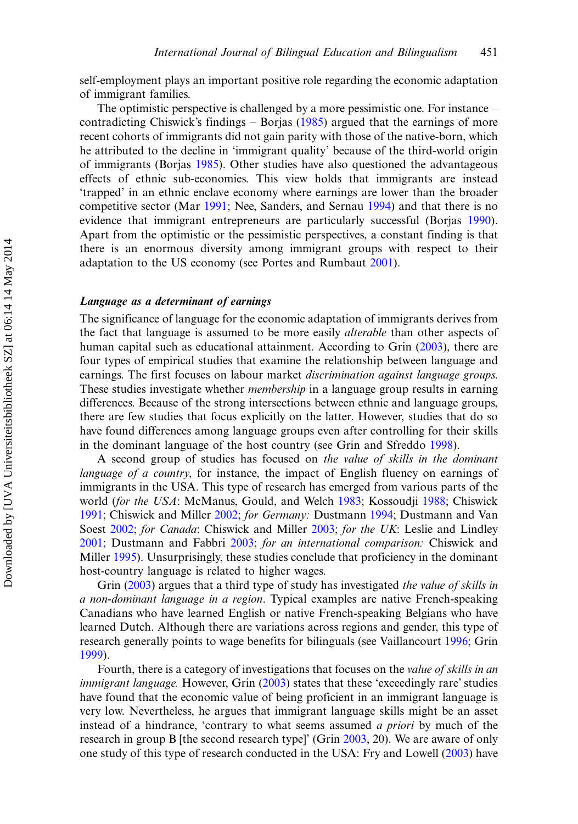self-employment plays an important positive role regarding the economic adaptation of immigrant families.

The optimistic perspective is challenged by a more pessimistic one. For instance - contradicting Chiswick's findings – Borjas [\(1985](#page-14-0)) argued that the earnings of more recent cohorts of immigrants did not gain parity with those of the native-born, which he attributed to the decline in 'immigrant quality' because of the third-world origin of immigrants (Borjas [1985\)](#page-14-0). Other studies have also questioned the advantageous effects of ethnic sub-economies. This view holds that immigrants are instead 'trapped' in an ethnic enclave economy where earnings are lower than the broader competitive sector (Mar [1991](#page-15-0); Nee, Sanders, and Sernau [1994\)](#page-15-0) and that there is no evidence that immigrant entrepreneurs are particularly successful (Borjas [1990](#page-14-0)). Apart from the optimistic or the pessimistic perspectives, a constant finding is that there is an enormous diversity among immigrant groups with respect to their adaptation to the US economy (see Portes and Rumbaut [2001\)](#page-15-0).

### Language as a determinant of earnings

The significance of language for the economic adaptation of immigrants derives from the fact that language is assumed to be more easily alterable than other aspects of human capital such as educational attainment. According to Grin [\(2003](#page-15-0)), there are four types of empirical studies that examine the relationship between language and earnings. The first focuses on labour market *discrimination against language groups*. These studies investigate whether *membership* in a language group results in earning differences. Because of the strong intersections between ethnic and language groups, there are few studies that focus explicitly on the latter. However, studies that do so have found differences among language groups even after controlling for their skills in the dominant language of the host country (see Grin and Sfreddo [1998\)](#page-15-0).

A second group of studies has focused on the value of skills in the dominant language of a country, for instance, the impact of English fluency on earnings of immigrants in the USA. This type of research has emerged from various parts of the world (for the USA: McManus, Gould, and Welch [1983](#page-15-0); Kossoudji [1988;](#page-15-0) Chiswick [1991;](#page-14-0) Chiswick and Miller [2002](#page-14-0); for Germany: Dustmann [1994;](#page-14-0) Dustmann and Van Soest [2002](#page-14-0); for Canada: Chiswick and Miller [2003;](#page-14-0) for the UK: Leslie and Lindley [2001;](#page-15-0) Dustmann and Fabbri [2003;](#page-14-0) for an international comparison: Chiswick and Miller [1995\)](#page-14-0). Unsurprisingly, these studies conclude that proficiency in the dominant host-country language is related to higher wages.

Grin [\(2003](#page-15-0)) argues that a third type of study has investigated the value of skills in a non-dominant language in a region. Typical examples are native French-speaking Canadians who have learned English or native French-speaking Belgians who have learned Dutch. Although there are variations across regions and gender, this type of research generally points to wage benefits for bilinguals (see Vaillancourt [1996;](#page-16-0) Grin [1999\)](#page-15-0).

Fourth, there is a category of investigations that focuses on the value of skills in an immigrant language. However, Grin [\(2003](#page-15-0)) states that these 'exceedingly rare' studies have found that the economic value of being proficient in an immigrant language is very low. Nevertheless, he argues that immigrant language skills might be an asset instead of a hindrance, 'contrary to what seems assumed a priori by much of the research in group B [the second research type]' (Grin [2003](#page-15-0), 20). We are aware of only one study of this type of research conducted in the USA: Fry and Lowell [\(2003](#page-14-0)) have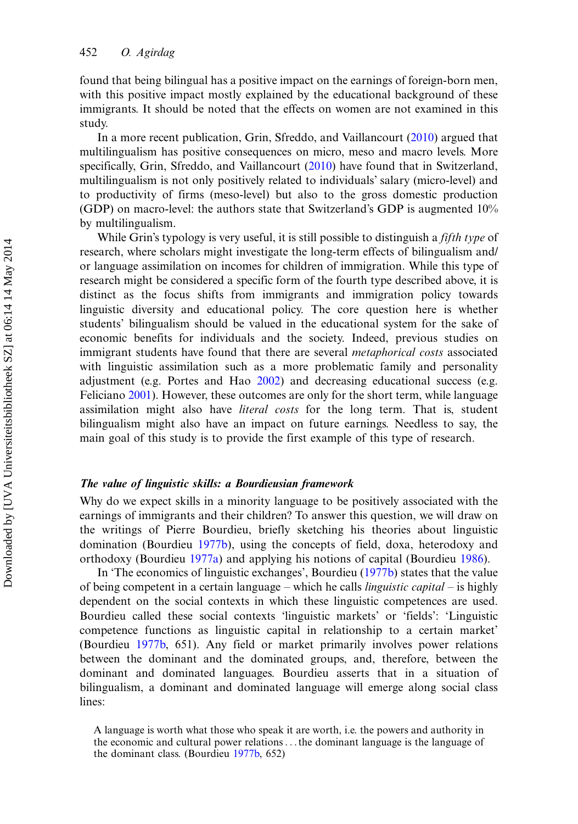found that being bilingual has a positive impact on the earnings of foreign-born men, with this positive impact mostly explained by the educational background of these immigrants. It should be noted that the effects on women are not examined in this study.

In a more recent publication, Grin, Sfreddo, and Vaillancourt ([2010\)](#page-15-0) argued that multilingualism has positive consequences on micro, meso and macro levels. More specifically, Grin, Sfreddo, and Vaillancourt [\(2010](#page-15-0)) have found that in Switzerland, multilingualism is not only positively related to individuals' salary (micro-level) and to productivity of firms (meso-level) but also to the gross domestic production (GDP) on macro-level: the authors state that Switzerland's GDP is augmented 10% by multilingualism.

While Grin's typology is very useful, it is still possible to distinguish a *fifth type* of research, where scholars might investigate the long-term effects of bilingualism and/ or language assimilation on incomes for children of immigration. While this type of research might be considered a specific form of the fourth type described above, it is distinct as the focus shifts from immigrants and immigration policy towards linguistic diversity and educational policy. The core question here is whether students' bilingualism should be valued in the educational system for the sake of economic benefits for individuals and the society. Indeed, previous studies on immigrant students have found that there are several metaphorical costs associated with linguistic assimilation such as a more problematic family and personality adjustment (e.g. Portes and Hao [2002](#page-15-0)) and decreasing educational success (e.g. Feliciano [2001](#page-14-0)). However, these outcomes are only for the short term, while language assimilation might also have literal costs for the long term. That is, student bilingualism might also have an impact on future earnings. Needless to say, the main goal of this study is to provide the first example of this type of research.

## The value of linguistic skills: a Bourdieusian framework

Why do we expect skills in a minority language to be positively associated with the earnings of immigrants and their children? To answer this question, we will draw on the writings of Pierre Bourdieu, briefly sketching his theories about linguistic domination (Bourdieu [1977b](#page-14-0)), using the concepts of field, doxa, heterodoxy and orthodoxy (Bourdieu [1977a\)](#page-14-0) and applying his notions of capital (Bourdieu [1986\)](#page-14-0).

In 'The economics of linguistic exchanges', Bourdieu ([1977b](#page-14-0)) states that the value of being competent in a certain language – which he calls *linguistic capital* – is highly dependent on the social contexts in which these linguistic competences are used. Bourdieu called these social contexts 'linguistic markets' or 'fields': 'Linguistic competence functions as linguistic capital in relationship to a certain market' (Bourdieu [1977b,](#page-14-0) 651). Any field or market primarily involves power relations between the dominant and the dominated groups, and, therefore, between the dominant and dominated languages. Bourdieu asserts that in a situation of bilingualism, a dominant and dominated language will emerge along social class lines:

A language is worth what those who speak it are worth, i.e. the powers and authority in the economic and cultural power relations...the dominant language is the language of the dominant class. (Bourdieu [1977b,](#page-14-0) 652)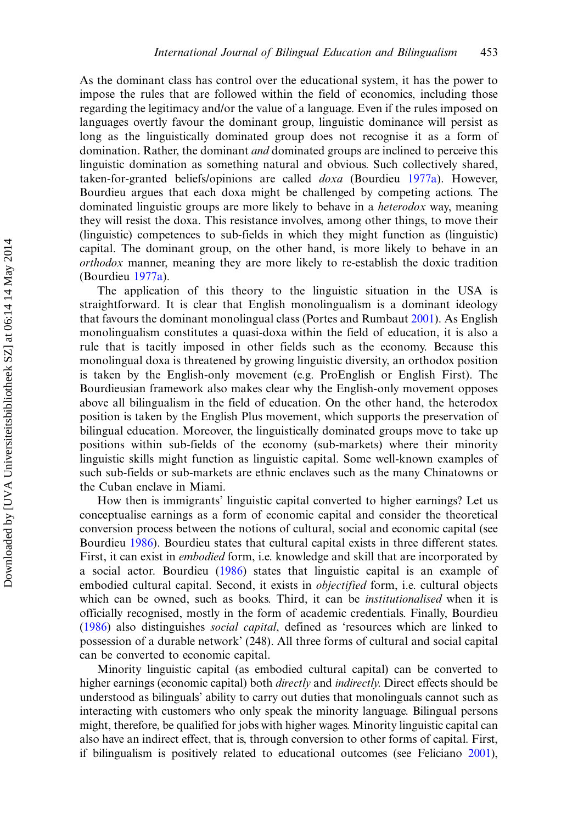As the dominant class has control over the educational system, it has the power to impose the rules that are followed within the field of economics, including those regarding the legitimacy and/or the value of a language. Even if the rules imposed on languages overtly favour the dominant group, linguistic dominance will persist as long as the linguistically dominated group does not recognise it as a form of domination. Rather, the dominant and dominated groups are inclined to perceive this linguistic domination as something natural and obvious. Such collectively shared, taken-for-granted beliefs/opinions are called doxa (Bourdieu [1977a](#page-14-0)). However, Bourdieu argues that each doxa might be challenged by competing actions. The dominated linguistic groups are more likely to behave in a heterodox way, meaning they will resist the doxa. This resistance involves, among other things, to move their (linguistic) competences to sub-fields in which they might function as (linguistic) capital. The dominant group, on the other hand, is more likely to behave in an orthodox manner, meaning they are more likely to re-establish the doxic tradition (Bourdieu [1977a](#page-14-0)).

The application of this theory to the linguistic situation in the USA is straightforward. It is clear that English monolingualism is a dominant ideology that favours the dominant monolingual class (Portes and Rumbaut [2001\)](#page-15-0). As English monolingualism constitutes a quasi-doxa within the field of education, it is also a rule that is tacitly imposed in other fields such as the economy. Because this monolingual doxa is threatened by growing linguistic diversity, an orthodox position is taken by the English-only movement (e.g. ProEnglish or English First). The Bourdieusian framework also makes clear why the English-only movement opposes above all bilingualism in the field of education. On the other hand, the heterodox position is taken by the English Plus movement, which supports the preservation of bilingual education. Moreover, the linguistically dominated groups move to take up positions within sub-fields of the economy (sub-markets) where their minority linguistic skills might function as linguistic capital. Some well-known examples of such sub-fields or sub-markets are ethnic enclaves such as the many Chinatowns or the Cuban enclave in Miami.

How then is immigrants' linguistic capital converted to higher earnings? Let us conceptualise earnings as a form of economic capital and consider the theoretical conversion process between the notions of cultural, social and economic capital (see Bourdieu [1986\)](#page-14-0). Bourdieu states that cultural capital exists in three different states. First, it can exist in *embodied* form, i.e. knowledge and skill that are incorporated by a social actor. Bourdieu [\(1986](#page-14-0)) states that linguistic capital is an example of embodied cultural capital. Second, it exists in *objectified* form, i.e. cultural objects which can be owned, such as books. Third, it can be *institutionalised* when it is officially recognised, mostly in the form of academic credentials. Finally, Bourdieu [\(1986](#page-14-0)) also distinguishes social capital, defined as 'resources which are linked to possession of a durable network' (248). All three forms of cultural and social capital can be converted to economic capital.

Minority linguistic capital (as embodied cultural capital) can be converted to higher earnings (economic capital) both *directly* and *indirectly*. Direct effects should be understood as bilinguals' ability to carry out duties that monolinguals cannot such as interacting with customers who only speak the minority language. Bilingual persons might, therefore, be qualified for jobs with higher wages. Minority linguistic capital can also have an indirect effect, that is, through conversion to other forms of capital. First, if bilingualism is positively related to educational outcomes (see Feliciano [2001](#page-14-0)),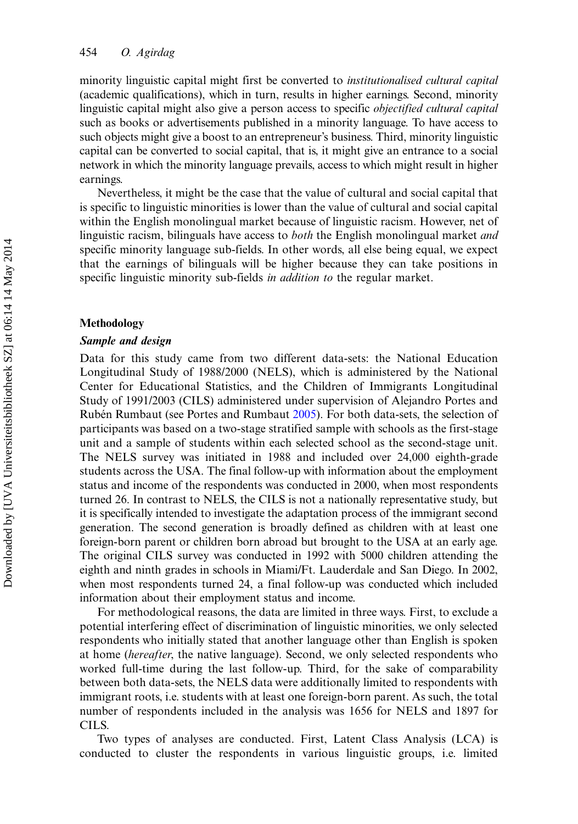minority linguistic capital might first be converted to institutionalised cultural capital (academic qualifications), which in turn, results in higher earnings. Second, minority linguistic capital might also give a person access to specific objectified cultural capital such as books or advertisements published in a minority language. To have access to such objects might give a boost to an entrepreneur's business. Third, minority linguistic capital can be converted to social capital, that is, it might give an entrance to a social network in which the minority language prevails, access to which might result in higher earnings.

Nevertheless, it might be the case that the value of cultural and social capital that is specific to linguistic minorities is lower than the value of cultural and social capital within the English monolingual market because of linguistic racism. However, net of linguistic racism, bilinguals have access to both the English monolingual market and specific minority language sub-fields. In other words, all else being equal, we expect that the earnings of bilinguals will be higher because they can take positions in specific linguistic minority sub-fields in addition to the regular market.

#### Methodology

#### Sample and design

Data for this study came from two different data-sets: the National Education Longitudinal Study of 1988/2000 (NELS), which is administered by the National Center for Educational Statistics, and the Children of Immigrants Longitudinal Study of 1991/2003 (CILS) administered under supervision of Alejandro Portes and Rubén Rumbaut (see Portes and Rumbaut [2005\)](#page-15-0). For both data-sets, the selection of participants was based on a two-stage stratified sample with schools as the first-stage unit and a sample of students within each selected school as the second-stage unit. The NELS survey was initiated in 1988 and included over 24,000 eighth-grade students across the USA. The final follow-up with information about the employment status and income of the respondents was conducted in 2000, when most respondents turned 26. In contrast to NELS, the CILS is not a nationally representative study, but it is specifically intended to investigate the adaptation process of the immigrant second generation. The second generation is broadly defined as children with at least one foreign-born parent or children born abroad but brought to the USA at an early age. The original CILS survey was conducted in 1992 with 5000 children attending the eighth and ninth grades in schools in Miami/Ft. Lauderdale and San Diego. In 2002, when most respondents turned 24, a final follow-up was conducted which included information about their employment status and income.

For methodological reasons, the data are limited in three ways. First, to exclude a potential interfering effect of discrimination of linguistic minorities, we only selected respondents who initially stated that another language other than English is spoken at home (hereafter, the native language). Second, we only selected respondents who worked full-time during the last follow-up. Third, for the sake of comparability between both data-sets, the NELS data were additionally limited to respondents with immigrant roots, i.e. students with at least one foreign-born parent. As such, the total number of respondents included in the analysis was 1656 for NELS and 1897 for CILS.

Two types of analyses are conducted. First, Latent Class Analysis (LCA) is conducted to cluster the respondents in various linguistic groups, i.e. limited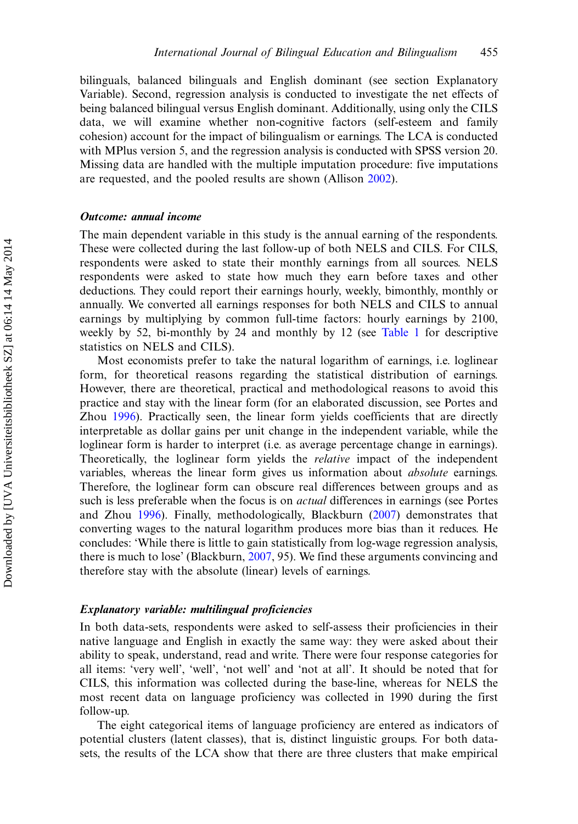bilinguals, balanced bilinguals and English dominant (see section Explanatory Variable). Second, regression analysis is conducted to investigate the net effects of being balanced bilingual versus English dominant. Additionally, using only the CILS data, we will examine whether non-cognitive factors (self-esteem and family cohesion) account for the impact of bilingualism or earnings. The LCA is conducted with MPlus version 5, and the regression analysis is conducted with SPSS version 20. Missing data are handled with the multiple imputation procedure: five imputations are requested, and the pooled results are shown (Allison [2002\)](#page-14-0).

#### Outcome: annual income

The main dependent variable in this study is the annual earning of the respondents. These were collected during the last follow-up of both NELS and CILS. For CILS, respondents were asked to state their monthly earnings from all sources. NELS respondents were asked to state how much they earn before taxes and other deductions. They could report their earnings hourly, weekly, bimonthly, monthly or annually. We converted all earnings responses for both NELS and CILS to annual earnings by multiplying by common full-time factors: hourly earnings by 2100, weekly by 52, bi-monthly by 24 and monthly by 12 (see [Table 1](#page-8-0) for descriptive statistics on NELS and CILS).

Most economists prefer to take the natural logarithm of earnings, i.e. loglinear form, for theoretical reasons regarding the statistical distribution of earnings. However, there are theoretical, practical and methodological reasons to avoid this practice and stay with the linear form (for an elaborated discussion, see Portes and Zhou [1996\)](#page-15-0). Practically seen, the linear form yields coefficients that are directly interpretable as dollar gains per unit change in the independent variable, while the loglinear form is harder to interpret (i.e. as average percentage change in earnings). Theoretically, the loglinear form yields the relative impact of the independent variables, whereas the linear form gives us information about absolute earnings. Therefore, the loglinear form can obscure real differences between groups and as such is less preferable when the focus is on *actual* differences in earnings (see Portes and Zhou [1996](#page-15-0)). Finally, methodologically, Blackburn [\(2007](#page-14-0)) demonstrates that converting wages to the natural logarithm produces more bias than it reduces. He concludes: 'While there is little to gain statistically from log-wage regression analysis, there is much to lose' (Blackburn, [2007,](#page-14-0) 95). We find these arguments convincing and therefore stay with the absolute (linear) levels of earnings.

#### Explanatory variable: multilingual proficiencies

In both data-sets, respondents were asked to self-assess their proficiencies in their native language and English in exactly the same way: they were asked about their ability to speak, understand, read and write. There were four response categories for all items: 'very well', 'well', 'not well' and 'not at all'. It should be noted that for CILS, this information was collected during the base-line, whereas for NELS the most recent data on language proficiency was collected in 1990 during the first follow-up.

The eight categorical items of language proficiency are entered as indicators of potential clusters (latent classes), that is, distinct linguistic groups. For both datasets, the results of the LCA show that there are three clusters that make empirical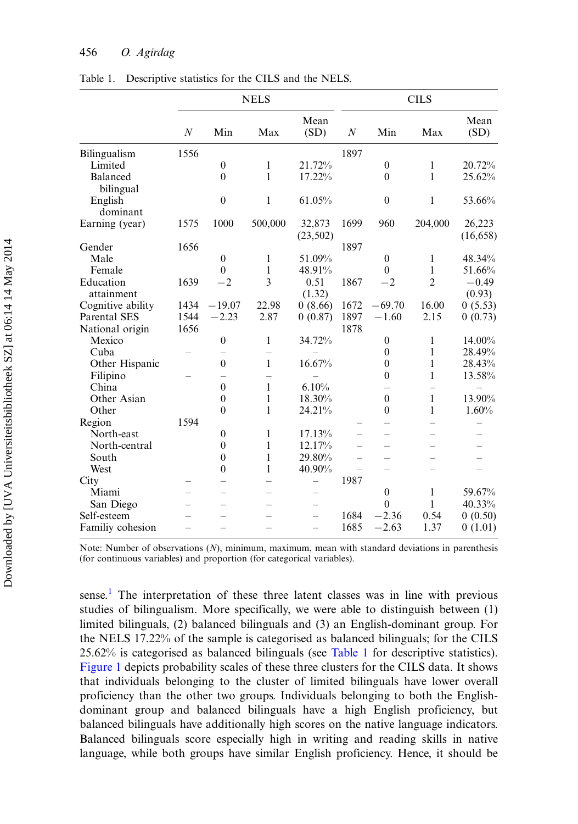<span id="page-8-0"></span>

|  | Table 1. Descriptive statistics for the CILS and the NELS. |  |  |  |  |  |  |
|--|------------------------------------------------------------|--|--|--|--|--|--|
|--|------------------------------------------------------------|--|--|--|--|--|--|

|                       | <b>NELS</b>      |                |                          |                          | <b>CILS</b> |                  |                |                          |
|-----------------------|------------------|----------------|--------------------------|--------------------------|-------------|------------------|----------------|--------------------------|
|                       | $\boldsymbol{N}$ | Min            | Max                      | Mean<br>(SD)             | $\cal N$    | Min              | Max            | Mean<br>(SD)             |
| Bilingualism          | 1556             |                |                          |                          | 1897        |                  |                |                          |
| Limited               |                  | $\overline{0}$ | 1                        | 21.72%                   |             | $\overline{0}$   | 1              | 20.72%                   |
| Balanced<br>bilingual |                  | $\theta$       | 1                        | 17.22%                   |             | $\overline{0}$   | 1              | 25.62%                   |
| English<br>dominant   |                  | $\theta$       | 1                        | 61.05%                   |             | $\overline{0}$   | 1              | 53.66%                   |
| Earning (year)        | 1575             | 1000           | 500,000                  | 32,873<br>(23, 502)      | 1699        | 960              | 204,000        | 26,223<br>(16, 658)      |
| Gender                | 1656             |                |                          |                          | 1897        |                  |                |                          |
| Male                  |                  | $\theta$       | 1                        | 51.09%                   |             | $\overline{0}$   | 1              | 48.34%                   |
| Female                |                  | $\theta$       | 1                        | 48.91%                   |             | $\theta$         | 1              | 51.66%                   |
| Education             | 1639             | $-2$           | 3                        | 0.51                     | 1867        | $-2$             | $\overline{2}$ | $-0.49$                  |
| attainment            |                  |                |                          | (1.32)                   |             |                  |                | (0.93)                   |
| Cognitive ability     | 1434             | $-19.07$       | 22.98                    | 0(8.66)                  | 1672        | $-69.70$         | 16.00          | 0(5.53)                  |
| <b>Parental SES</b>   | 1544             | $-2.23$        | 2.87                     | 0(0.87)                  | 1897        | $-1.60$          | 2.15           | 0(0.73)                  |
| National origin       | 1656             |                |                          |                          | 1878        |                  |                |                          |
| Mexico                |                  | $\overline{0}$ | 1                        | 34.72%                   |             | $\overline{0}$   | 1              | 14.00%                   |
| Cuba                  |                  |                | -                        |                          |             | $\overline{0}$   | 1              | 28.49%                   |
| Other Hispanic        |                  | $\theta$       | 1                        | 16.67%                   |             | $\overline{0}$   | 1              | 28.43%                   |
| Filipino              |                  |                | $\overline{\phantom{0}}$ | $\overline{\phantom{0}}$ |             | $\theta$         | 1              | 13.58%                   |
| China                 |                  | $\theta$       | 1                        | 6.10%                    |             |                  |                | $\overline{\phantom{0}}$ |
| Other Asian           |                  | $\theta$       | 1                        | 18.30%                   |             | $\overline{0}$   | 1              | 13.90%                   |
| Other                 |                  | $\theta$       | 1                        | 24.21%                   |             | $\overline{0}$   | 1              | 1.60%                    |
| Region                | 1594             |                |                          |                          |             |                  |                |                          |
| North-east            |                  | $\overline{0}$ | 1                        | 17.13%                   |             |                  |                |                          |
| North-central         |                  | $\theta$       | 1                        | 12.17%                   |             |                  |                |                          |
| South                 |                  | $\theta$       | 1                        | 29.80%                   |             |                  |                |                          |
| West                  |                  | $\theta$       | $\mathbf{1}$             | 40.90%                   |             |                  |                |                          |
| City                  |                  |                |                          |                          | 1987        |                  |                |                          |
| Miami                 |                  |                |                          |                          |             | $\boldsymbol{0}$ | 1              | 59.67%                   |
| San Diego             |                  |                |                          |                          |             | $\theta$         | $\mathbf{1}$   | 40.33%                   |
| Self-esteem           |                  |                |                          |                          | 1684        | $-2.36$          | 0.54           | 0(0.50)                  |
| Familiy cohesion      |                  |                |                          |                          | 1685        | $-2.63$          | 1.37           | 0(1.01)                  |

Note: Number of observations (N), minimum, maximum, mean with standard deviations in parenthesis (for continuous variables) and proportion (for categorical variables).

sense.<sup>[1](#page-13-0)</sup> The interpretation of these three latent classes was in line with previous studies of bilingualism. More specifically, we were able to distinguish between (1) limited bilinguals, (2) balanced bilinguals and (3) an English-dominant group. For the NELS 17.22% of the sample is categorised as balanced bilinguals; for the CILS  $25.62\%$  is categorised as balanced bilinguals (see Table 1 for descriptive statistics). [Figure 1](#page-9-0) depicts probability scales of these three clusters for the CILS data. It shows that individuals belonging to the cluster of limited bilinguals have lower overall proficiency than the other two groups. Individuals belonging to both the Englishdominant group and balanced bilinguals have a high English proficiency, but balanced bilinguals have additionally high scores on the native language indicators. Balanced bilinguals score especially high in writing and reading skills in native language, while both groups have similar English proficiency. Hence, it should be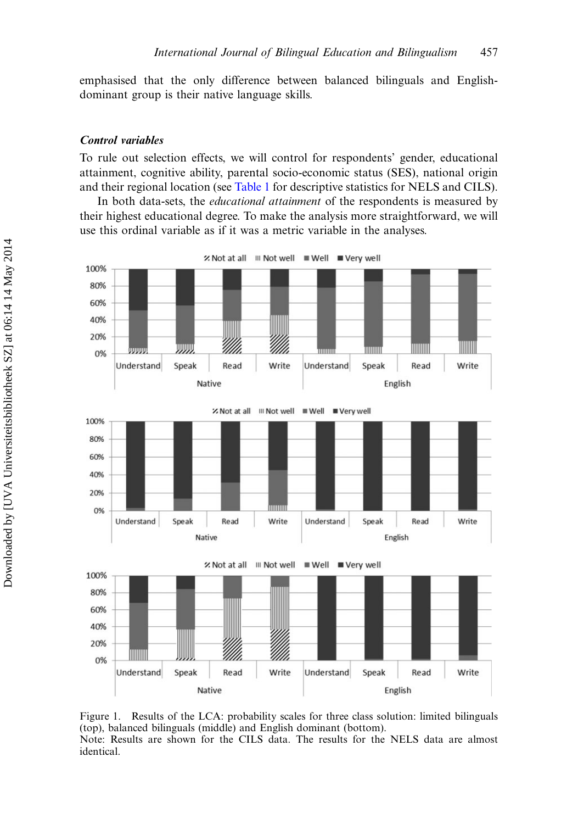<span id="page-9-0"></span>emphasised that the only difference between balanced bilinguals and Englishdominant group is their native language skills.

## Control variables

To rule out selection effects, we will control for respondents' gender, educational attainment, cognitive ability, parental socio-economic status (SES), national origin and their regional location (see [Table 1](#page-8-0) for descriptive statistics for NELS and CILS).

In both data-sets, the *educational attainment* of the respondents is measured by their highest educational degree. To make the analysis more straightforward, we will use this ordinal variable as if it was a metric variable in the analyses.



Figure 1. Results of the LCA: probability scales for three class solution: limited bilinguals (top), balanced bilinguals (middle) and English dominant (bottom). Note: Results are shown for the CILS data. The results for the NELS data are almost identical.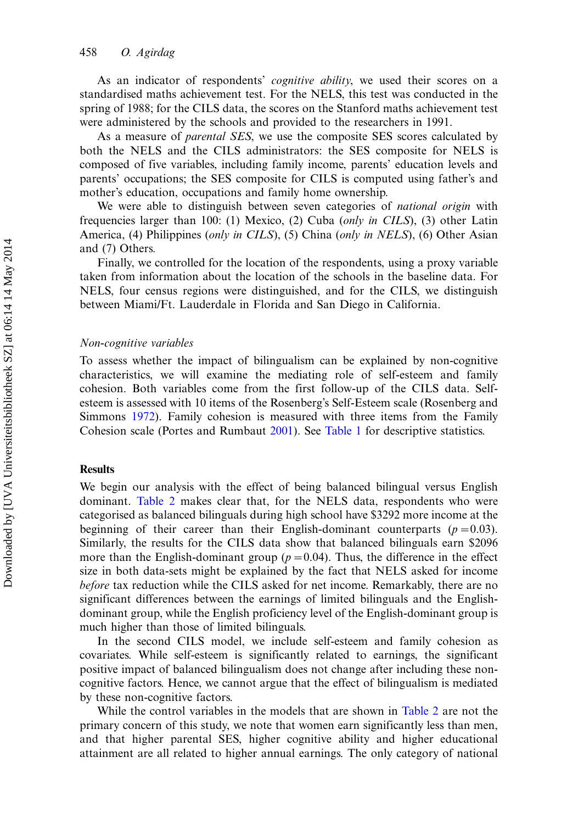As an indicator of respondents' *cognitive ability*, we used their scores on a standardised maths achievement test. For the NELS, this test was conducted in the spring of 1988; for the CILS data, the scores on the Stanford maths achievement test were administered by the schools and provided to the researchers in 1991.

As a measure of *parental SES*, we use the composite SES scores calculated by both the NELS and the CILS administrators: the SES composite for NELS is composed of five variables, including family income, parents' education levels and parents' occupations; the SES composite for CILS is computed using father's and mother's education, occupations and family home ownership.

We were able to distinguish between seven categories of *national origin* with frequencies larger than 100: (1) Mexico, (2) Cuba (only in CILS), (3) other Latin America, (4) Philippines (*only in CILS*), (5) China (*only in NELS*), (6) Other Asian and (7) Others.

Finally, we controlled for the location of the respondents, using a proxy variable taken from information about the location of the schools in the baseline data. For NELS, four census regions were distinguished, and for the CILS, we distinguish between Miami/Ft. Lauderdale in Florida and San Diego in California.

#### Non-cognitive variables

To assess whether the impact of bilingualism can be explained by non-cognitive characteristics, we will examine the mediating role of self-esteem and family cohesion. Both variables come from the first follow-up of the CILS data. Selfesteem is assessed with 10 items of the Rosenberg's Self-Esteem scale (Rosenberg and Simmons [1972](#page-15-0)). Family cohesion is measured with three items from the Family Cohesion scale (Portes and Rumbaut [2001\)](#page-15-0). See [Table 1](#page-8-0) for descriptive statistics.

## **Results**

We begin our analysis with the effect of being balanced bilingual versus English dominant. [Table 2](#page-11-0) makes clear that, for the NELS data, respondents who were categorised as balanced bilinguals during high school have \$3292 more income at the beginning of their career than their English-dominant counterparts ( $p=0.03$ ). Similarly, the results for the CILS data show that balanced bilinguals earn \$2096 more than the English-dominant group ( $p=0.04$ ). Thus, the difference in the effect size in both data-sets might be explained by the fact that NELS asked for income before tax reduction while the CILS asked for net income. Remarkably, there are no significant differences between the earnings of limited bilinguals and the Englishdominant group, while the English proficiency level of the English-dominant group is much higher than those of limited bilinguals.

In the second CILS model, we include self-esteem and family cohesion as covariates. While self-esteem is significantly related to earnings, the significant positive impact of balanced bilingualism does not change after including these noncognitive factors. Hence, we cannot argue that the effect of bilingualism is mediated by these non-cognitive factors.

While the control variables in the models that are shown in [Table 2](#page-11-0) are not the primary concern of this study, we note that women earn significantly less than men, and that higher parental SES, higher cognitive ability and higher educational attainment are all related to higher annual earnings. The only category of national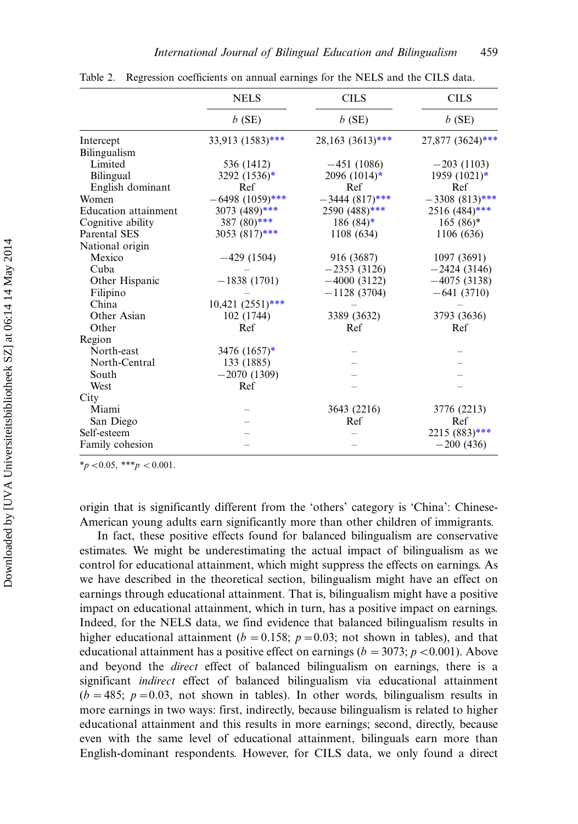|                             | <b>NELS</b>           | <b>CILS</b>      | <b>CILS</b>        |
|-----------------------------|-----------------------|------------------|--------------------|
|                             | b(SE)                 | b(SE)            | b(SE)              |
| Intercept                   | 33,913 (1583)***      | 28,163 (3613)*** | $27,877$ (3624)*** |
| Bilingualism                |                       |                  |                    |
| Limited                     | 536 (1412)            | $-451(1086)$     | $-203(1103)$       |
| Bilingual                   | 3292 $(1536)^*$       | 2096 $(1014)*$   | 1959 $(1021)$ *    |
| English dominant            | Ref                   | Ref              | Ref                |
| Women                       | $-6498$ (1059)***     | $-3444(817)$ *** | $-3308(813)$ ***   |
| <b>Education</b> attainment | 3073 (489)***         | 2590 (488)***    | $2516 (484)$ ***   |
| Cognitive ability           | 387 (80)***           | $186(84)$ *      | $165(86)$ *        |
| Parental SES                | 3053 $(817)$ ***      | 1108 (634)       | 1106 (636)         |
| National origin             |                       |                  |                    |
| Mexico                      | $-429(1504)$          | 916 (3687)       | 1097 (3691)        |
| Cuba                        |                       | $-2353(3126)$    | $-2424(3146)$      |
| Other Hispanic              | $-1838(1701)$         | $-4000(3122)$    | $-4075(3138)$      |
| Filipino                    |                       | $-1128(3704)$    | $-641(3710)$       |
| China                       | $10,421$ $(2551)$ *** |                  |                    |
| Other Asian                 | 102 (1744)            | 3389 (3632)      | 3793 (3636)        |
| Other                       | Ref                   | Ref              | Ref                |
| Region                      |                       |                  |                    |
| North-east                  | 3476 (1657)*          |                  |                    |
| North-Central               | 133 (1885)            |                  |                    |
| South                       | $-2070(1309)$         |                  |                    |
| West                        | Ref                   |                  |                    |
| City                        |                       |                  |                    |
| Miami                       |                       | 3643 (2216)      | 3776 (2213)        |
| San Diego                   |                       | Ref              | Ref                |
| Self-esteem                 |                       |                  | $2215(883)$ ***    |
| Family cohesion             |                       |                  | $-200(436)$        |

<span id="page-11-0"></span>Table 2. Regression coefficients on annual earnings for the NELS and the CILS data.

 $*_{p}$  < 0.05, \*\*\*p < 0.001.

origin that is significantly different from the 'others' category is 'China': Chinese-American young adults earn significantly more than other children of immigrants.

In fact, these positive effects found for balanced bilingualism are conservative estimates. We might be underestimating the actual impact of bilingualism as we control for educational attainment, which might suppress the effects on earnings. As we have described in the theoretical section, bilingualism might have an effect on earnings through educational attainment. That is, bilingualism might have a positive impact on educational attainment, which in turn, has a positive impact on earnings. Indeed, for the NELS data, we find evidence that balanced bilingualism results in higher educational attainment ( $b = 0.158$ ;  $p = 0.03$ ; not shown in tables), and that educational attainment has a positive effect on earnings ( $b = 3073$ ;  $p < 0.001$ ). Above and beyond the direct effect of balanced bilingualism on earnings, there is a significant indirect effect of balanced bilingualism via educational attainment  $(b = 485; p = 0.03$ , not shown in tables). In other words, bilingualism results in more earnings in two ways: first, indirectly, because bilingualism is related to higher educational attainment and this results in more earnings; second, directly, because even with the same level of educational attainment, bilinguals earn more than English-dominant respondents. However, for CILS data, we only found a direct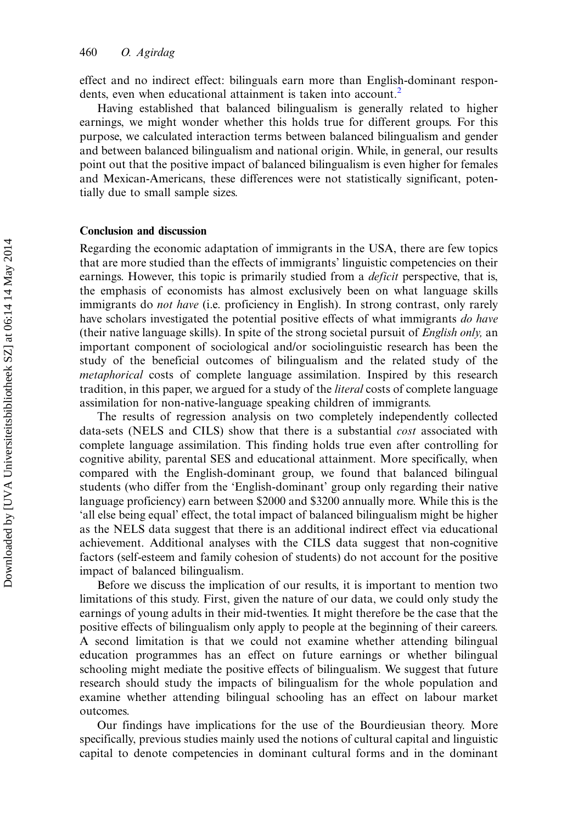effect and no indirect effect: bilinguals earn more than English-dominant respon-dents, even when educational attainment is taken into account.<sup>[2](#page-13-0)</sup>

Having established that balanced bilingualism is generally related to higher earnings, we might wonder whether this holds true for different groups. For this purpose, we calculated interaction terms between balanced bilingualism and gender and between balanced bilingualism and national origin. While, in general, our results point out that the positive impact of balanced bilingualism is even higher for females and Mexican-Americans, these differences were not statistically significant, potentially due to small sample sizes.

#### Conclusion and discussion

Regarding the economic adaptation of immigrants in the USA, there are few topics that are more studied than the effects of immigrants' linguistic competencies on their earnings. However, this topic is primarily studied from a *deficit* perspective, that is, the emphasis of economists has almost exclusively been on what language skills immigrants do *not have* (i.e. proficiency in English). In strong contrast, only rarely have scholars investigated the potential positive effects of what immigrants do have (their native language skills). In spite of the strong societal pursuit of English only, an important component of sociological and/or sociolinguistic research has been the study of the beneficial outcomes of bilingualism and the related study of the metaphorical costs of complete language assimilation. Inspired by this research tradition, in this paper, we argued for a study of the *literal* costs of complete language assimilation for non-native-language speaking children of immigrants.

The results of regression analysis on two completely independently collected data-sets (NELS and CILS) show that there is a substantial cost associated with complete language assimilation. This finding holds true even after controlling for cognitive ability, parental SES and educational attainment. More specifically, when compared with the English-dominant group, we found that balanced bilingual students (who differ from the 'English-dominant' group only regarding their native language proficiency) earn between \$2000 and \$3200 annually more. While this is the 'all else being equal' effect, the total impact of balanced bilingualism might be higher as the NELS data suggest that there is an additional indirect effect via educational achievement. Additional analyses with the CILS data suggest that non-cognitive factors (self-esteem and family cohesion of students) do not account for the positive impact of balanced bilingualism.

Before we discuss the implication of our results, it is important to mention two limitations of this study. First, given the nature of our data, we could only study the earnings of young adults in their mid-twenties. It might therefore be the case that the positive effects of bilingualism only apply to people at the beginning of their careers. A second limitation is that we could not examine whether attending bilingual education programmes has an effect on future earnings or whether bilingual schooling might mediate the positive effects of bilingualism. We suggest that future research should study the impacts of bilingualism for the whole population and examine whether attending bilingual schooling has an effect on labour market outcomes.

Our findings have implications for the use of the Bourdieusian theory. More specifically, previous studies mainly used the notions of cultural capital and linguistic capital to denote competencies in dominant cultural forms and in the dominant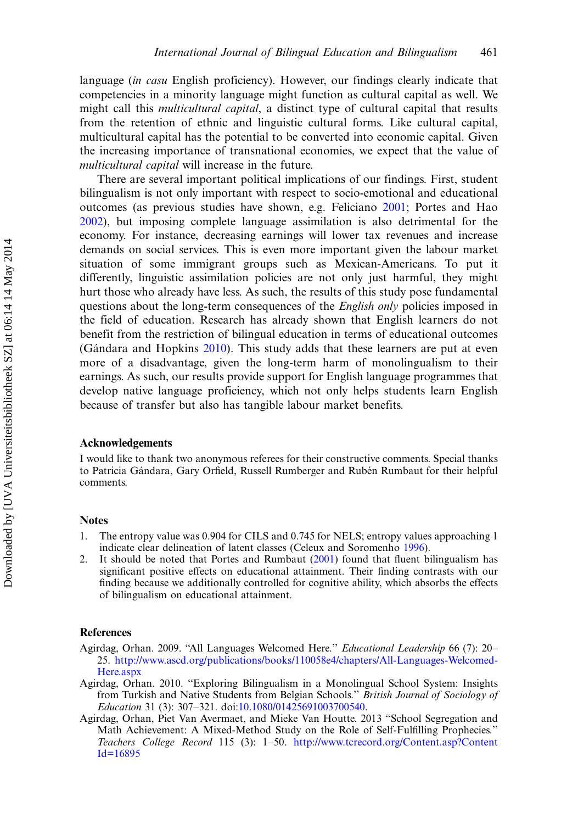<span id="page-13-0"></span>language *(in casu* English proficiency). However, our findings clearly indicate that competencies in a minority language might function as cultural capital as well. We might call this multicultural capital, a distinct type of cultural capital that results from the retention of ethnic and linguistic cultural forms. Like cultural capital, multicultural capital has the potential to be converted into economic capital. Given the increasing importance of transnational economies, we expect that the value of multicultural capital will increase in the future.

There are several important political implications of our findings. First, student bilingualism is not only important with respect to socio-emotional and educational outcomes (as previous studies have shown, e.g. Feliciano [2001;](#page-14-0) Portes and Hao [2002\)](#page-15-0), but imposing complete language assimilation is also detrimental for the economy. For instance, decreasing earnings will lower tax revenues and increase demands on social services. This is even more important given the labour market situation of some immigrant groups such as Mexican-Americans. To put it differently, linguistic assimilation policies are not only just harmful, they might hurt those who already have less. As such, the results of this study pose fundamental questions about the long-term consequences of the *English only* policies imposed in the field of education. Research has already shown that English learners do not benefit from the restriction of bilingual education in terms of educational outcomes (Gándara and Hopkins  $2010$ ). This study adds that these learners are put at even more of a disadvantage, given the long-term harm of monolingualism to their earnings. As such, our results provide support for English language programmes that develop native language proficiency, which not only helps students learn English because of transfer but also has tangible labour market benefits.

#### Acknowledgements

I would like to thank two anonymous referees for their constructive comments. Special thanks to Patricia Gándara, Gary Orfield, Russell Rumberger and Rubén Rumbaut for their helpful comments.

#### Notes

- 1. The entropy value was 0.904 for CILS and 0.745 for NELS; entropy values approaching 1 indicate clear delineation of latent classes (Celeux and Soromenho [1996](#page-14-0)).
- 2. It should be noted that Portes and Rumbaut ([2001\)](#page-15-0) found that fluent bilingualism has significant positive effects on educational attainment. Their finding contrasts with our finding because we additionally controlled for cognitive ability, which absorbs the effects of bilingualism on educational attainment.

#### References

- Agirdag, Orhan. 2009. "All Languages Welcomed Here." *Educational Leadership* 66 (7): 20-25. [http://www.ascd.org/publications/books/110058e4/chapters/All-Languages-Welcomed-](http://www.ascd.org/publications/books/110058e4/chapters/All-Languages-Welcomed-Here.aspx)[Here.aspx](http://www.ascd.org/publications/books/110058e4/chapters/All-Languages-Welcomed-Here.aspx)
- Agirdag, Orhan. 2010. ''Exploring Bilingualism in a Monolingual School System: Insights from Turkish and Native Students from Belgian Schools.'' British Journal of Sociology of Education 31 (3): 307-321. doi:[10.1080/01425691003700540.](http://dx.doi.org/10.1080/01425691003700540)
- Agirdag, Orhan, Piet Van Avermaet, and Mieke Van Houtte. 2013 ''School Segregation and Math Achievement: A Mixed-Method Study on the Role of Self-Fulfilling Prophecies.'' Teachers College Record 115 (3): 1-50. [http://www.tcrecord.org/Content.asp?Content](http://www.tcrecord.org/Content.asp?ContentId=16895) [Id=16895](http://www.tcrecord.org/Content.asp?ContentId=16895)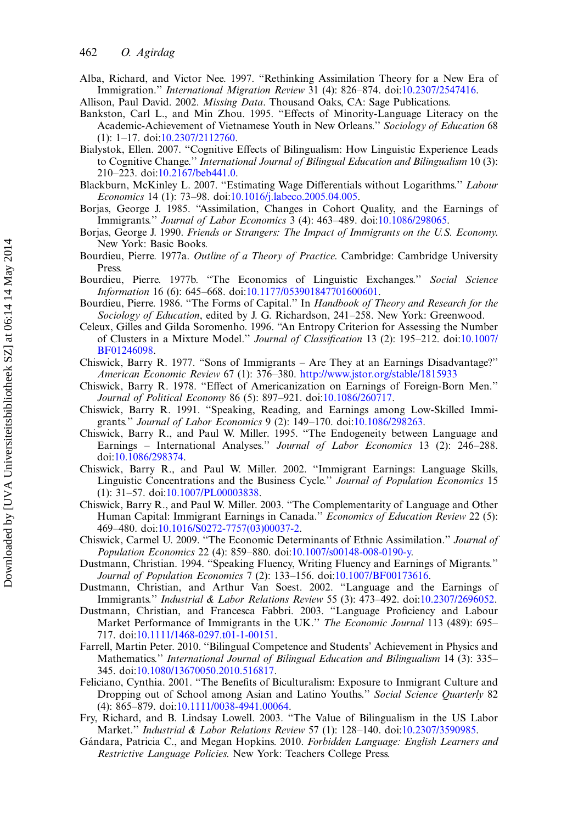- <span id="page-14-0"></span>Alba, Richard, and Victor Nee. 1997. ''Rethinking Assimilation Theory for a New Era of Immigration.'' International Migration Review 31 (4): 826-874. doi[:10.2307/2547416](http://dx.doi.org/10.2307/2547416).
- Allison, Paul David. 2002. Missing Data. Thousand Oaks, CA: Sage Publications.
- Bankston, Carl L., and Min Zhou. 1995. ''Effects of Minority-Language Literacy on the Academic-Achievement of Vietnamese Youth in New Orleans.'' Sociology of Education 68 (1): 1-17. doi[:10.2307/2112760.](http://dx.doi.org/10.2307/2112760)
- Bialystok, Ellen. 2007. ''Cognitive Effects of Bilingualism: How Linguistic Experience Leads to Cognitive Change.'' International Journal of Bilingual Education and Bilingualism 10 (3): 210-223. doi[:10.2167/beb441.0.](http://dx.doi.org/10.2167/beb441.0)
- Blackburn, McKinley L. 2007. "Estimating Wage Differentials without Logarithms." Labour Economics 14 (1): 73-98. doi:[10.1016/j.labeco.2005.04.005](http://dx.doi.org/10.1016/j.labeco.2005.04.005).
- Borjas, George J. 1985. ''Assimilation, Changes in Cohort Quality, and the Earnings of Immigrants." Journal of Labor Economics 3 (4): 463-489. doi:[10.1086/298065.](http://dx.doi.org/10.1086/298065)
- Borjas, George J. 1990. Friends or Strangers: The Impact of Immigrants on the U.S. Economy. New York: Basic Books.
- Bourdieu, Pierre. 1977a. Outline of a Theory of Practice. Cambridge: Cambridge University Press.
- Bourdieu, Pierre. 1977b. ''The Economics of Linguistic Exchanges.'' Social Science Information 16 (6): 645-668. doi[:10.1177/053901847701600601.](http://dx.doi.org/10.1177/053901847701600601)
- Bourdieu, Pierre. 1986. ''The Forms of Capital.'' In Handbook of Theory and Research for the Sociology of Education, edited by J. G. Richardson, 241-258. New York: Greenwood.
- Celeux, Gilles and Gilda Soromenho. 1996. ''An Entropy Criterion for Assessing the Number of Clusters in a Mixture Model." Journal of Classification 13 (2): 195–212. doi[:10.1007/](http://dx.doi.org/10.1007/BF01246098) [BF01246098.](http://dx.doi.org/10.1007/BF01246098)
- Chiswick, Barry R. 1977. ''Sons of Immigrants Are They at an Earnings Disadvantage?'' American Economic Review 67 (1): 376-380. <http://www.jstor.org/stable/1815933>
- Chiswick, Barry R. 1978. ''Effect of Americanization on Earnings of Foreign-Born Men.'' Journal of Political Economy 86 (5): 897-921. doi:[10.1086/260717.](http://dx.doi.org/10.1086/260717)
- Chiswick, Barry R. 1991. ''Speaking, Reading, and Earnings among Low-Skilled Immi-grants." Journal of Labor Economics 9 (2): 149-170. doi[:10.1086/298263.](http://dx.doi.org/10.1086/298263)
- Chiswick, Barry R., and Paul W. Miller. 1995. ''The Endogeneity between Language and Earnings - International Analyses." Journal of Labor Economics 13 (2): 246-288. doi:[10.1086/298374](http://dx.doi.org/10.1086/298374).
- Chiswick, Barry R., and Paul W. Miller. 2002. ''Immigrant Earnings: Language Skills, Linguistic Concentrations and the Business Cycle.'' Journal of Population Economics 15 (1): 31-57. doi:[10.1007/PL00003838](http://dx.doi.org/10.1007/PL00003838).
- Chiswick, Barry R., and Paul W. Miller. 2003. ''The Complementarity of Language and Other Human Capital: Immigrant Earnings in Canada.'' Economics of Education Review 22 (5): 469-480. doi[:10.1016/S0272-7757\(03\)00037-2.](http://dx.doi.org/10.1016/S0272-7757(03)00037-2)
- Chiswick, Carmel U. 2009. ''The Economic Determinants of Ethnic Assimilation.'' Journal of Population Economics 22 (4): 859-880. doi[:10.1007/s00148-008-0190-y.](http://dx.doi.org/10.1007/s00148-008-0190-y)
- Dustmann, Christian. 1994. ''Speaking Fluency, Writing Fluency and Earnings of Migrants.'' Journal of Population Economics 7 (2): 133-156. doi[:10.1007/BF00173616.](http://dx.doi.org/10.1007/BF00173616)
- Dustmann, Christian, and Arthur Van Soest. 2002. ''Language and the Earnings of Immigrants.'' Industrial & Labor Relations Review 55 (3): 473-492. doi:[10.2307/2696052](http://dx.doi.org/10.2307/2696052).
- Dustmann, Christian, and Francesca Fabbri. 2003. ''Language Proficiency and Labour Market Performance of Immigrants in the UK." The Economic Journal 113 (489): 695– 717. doi:[10.1111/1468-0297.t01-1-00151.](http://dx.doi.org/10.1111/1468-0297.t01-1-00151)
- Farrell, Martin Peter. 2010. ''Bilingual Competence and Students' Achievement in Physics and Mathematics." International Journal of Bilingual Education and Bilingualism 14 (3): 335– 345. doi:[10.1080/13670050.2010.516817](http://dx.doi.org/10.1080/13670050.2010.516817).
- Feliciano, Cynthia. 2001. ''The Benefits of Biculturalism: Exposure to Inmigrant Culture and Dropping out of School among Asian and Latino Youths." Social Science Quarterly 82 (4): 865-879. doi:[10.1111/0038-4941.00064](http://dx.doi.org/10.1111/0038-4941.00064).
- Fry, Richard, and B. Lindsay Lowell. 2003. ''The Value of Bilingualism in the US Labor Market." Industrial & Labor Relations Review 57 (1): 128-140. doi[:10.2307/3590985](http://dx.doi.org/10.2307/3590985).
- Gándara, Patricia C., and Megan Hopkins. 2010. Forbidden Language: English Learners and Restrictive Language Policies. New York: Teachers College Press.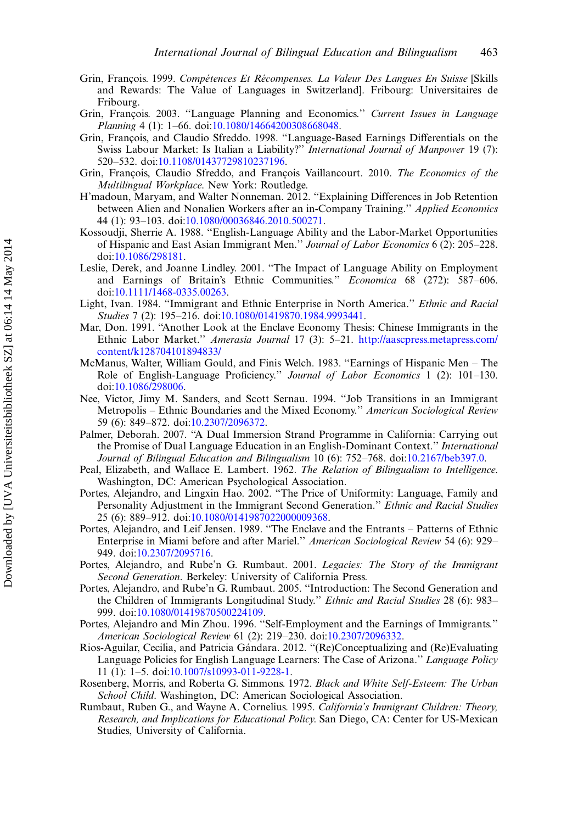- <span id="page-15-0"></span>Grin, François. 1999. Compétences Et Récompenses. La Valeur Des Langues En Suisse [Skills and Rewards: The Value of Languages in Switzerland]. Fribourg: Universitaires de Fribourg.
- Grin, François. 2003. "Language Planning and Economics." Current Issues in Language Planning 4 (1): 1-66. doi[:10.1080/14664200308668048](http://dx.doi.org/10.1080/14664200308668048).
- Grin, François, and Claudio Sfreddo. 1998. "Language-Based Earnings Differentials on the Swiss Labour Market: Is Italian a Liability?" International Journal of Manpower 19 (7): 520-532. doi[:10.1108/01437729810237196](http://dx.doi.org/10.1108/01437729810237196).
- Grin, François, Claudio Sfreddo, and François Vaillancourt. 2010. The Economics of the Multilingual Workplace. New York: Routledge.
- H'madoun, Maryam, and Walter Nonneman. 2012. ''Explaining Differences in Job Retention between Alien and Nonalien Workers after an in-Company Training.'' Applied Economics 44 (1): 93-103. doi[:10.1080/00036846.2010.500271.](http://dx.doi.org/10.1080/00036846.2010.500271)
- Kossoudji, Sherrie A. 1988. ''English-Language Ability and the Labor-Market Opportunities of Hispanic and East Asian Immigrant Men." Journal of Labor Economics 6 (2): 205-228. doi:[10.1086/298181](http://dx.doi.org/10.1086/298181).
- Leslie, Derek, and Joanne Lindley. 2001. ''The Impact of Language Ability on Employment and Earnings of Britain's Ethnic Communities." Economica 68 (272): 587-606. doi:[10.1111/1468-0335.00263](http://dx.doi.org/10.1111/1468-0335.00263).
- Light, Ivan. 1984. ''Immigrant and Ethnic Enterprise in North America.'' Ethnic and Racial Studies 7 (2): 195-216. doi:[10.1080/01419870.1984.9993441](http://dx.doi.org/10.1080/01419870.1984.9993441).
- Mar, Don. 1991. ''Another Look at the Enclave Economy Thesis: Chinese Immigrants in the Ethnic Labor Market." Amerasia Journal 17 (3): 5-21. [http://aascpress.metapress.com/](http://aascpress.metapress.com/content/k128704101894833/) [content/k128704101894833/](http://aascpress.metapress.com/content/k128704101894833/)
- McManus, Walter, William Gould, and Finis Welch. 1983. ''Earnings of Hispanic Men The Role of English-Language Proficiency." Journal of Labor Economics 1 (2): 101-130. doi:[10.1086/298006](http://dx.doi.org/10.1086/298006).
- Nee, Victor, Jimy M. Sanders, and Scott Sernau. 1994. ''Job Transitions in an Immigrant Metropolis - Ethnic Boundaries and the Mixed Economy." American Sociological Review 59 (6): 849-872. doi:[10.2307/2096372](http://dx.doi.org/10.2307/2096372).
- Palmer, Deborah. 2007. ''A Dual Immersion Strand Programme in California: Carrying out the Promise of Dual Language Education in an English-Dominant Context.'' International Journal of Bilingual Education and Bilingualism 10 (6): 752-768. doi[:10.2167/beb397.0](http://dx.doi.org/10.2167/beb397.0).
- Peal, Elizabeth, and Wallace E. Lambert. 1962. The Relation of Bilingualism to Intelligence. Washington, DC: American Psychological Association.
- Portes, Alejandro, and Lingxin Hao. 2002. ''The Price of Uniformity: Language, Family and Personality Adjustment in the Immigrant Second Generation." Ethnic and Racial Studies 25 (6): 889-912. doi:[10.1080/0141987022000009368.](http://dx.doi.org/10.1080/0141987022000009368)
- Portes, Alejandro, and Leif Jensen. 1989. "The Enclave and the Entrants Patterns of Ethnic Enterprise in Miami before and after Mariel." American Sociological Review 54 (6): 929– 949. doi:[10.2307/2095716.](http://dx.doi.org/10.2307/2095716)
- Portes, Alejandro, and Rube'n G. Rumbaut. 2001. Legacies: The Story of the Immigrant Second Generation. Berkeley: University of California Press.
- Portes, Alejandro, and Rube'n G. Rumbaut. 2005. ''Introduction: The Second Generation and the Children of Immigrants Longitudinal Study." Ethnic and Racial Studies 28 (6): 983– 999. doi:[10.1080/01419870500224109.](http://dx.doi.org/10.1080/01419870500224109)
- Portes, Alejandro and Min Zhou. 1996. ''Self-Employment and the Earnings of Immigrants.'' American Sociological Review 61 (2): 219-230. doi:[10.2307/2096332.](http://dx.doi.org/10.2307/2096332)
- Rios-Aguilar, Cecilia, and Patricia Gándara. 2012. "(Re)Conceptualizing and (Re)Evaluating Language Policies for English Language Learners: The Case of Arizona.'' Language Policy 11 (1): 1-5. doi:[10.1007/s10993-011-9228-1.](http://dx.doi.org/10.1007/s10993-011-9228-1)
- Rosenberg, Morris, and Roberta G. Simmons. 1972. Black and White Self-Esteem: The Urban School Child. Washington, DC: American Sociological Association.
- Rumbaut, Ruben G., and Wayne A. Cornelius. 1995. California's Immigrant Children: Theory, Research, and Implications for Educational Policy. San Diego, CA: Center for US-Mexican Studies, University of California.